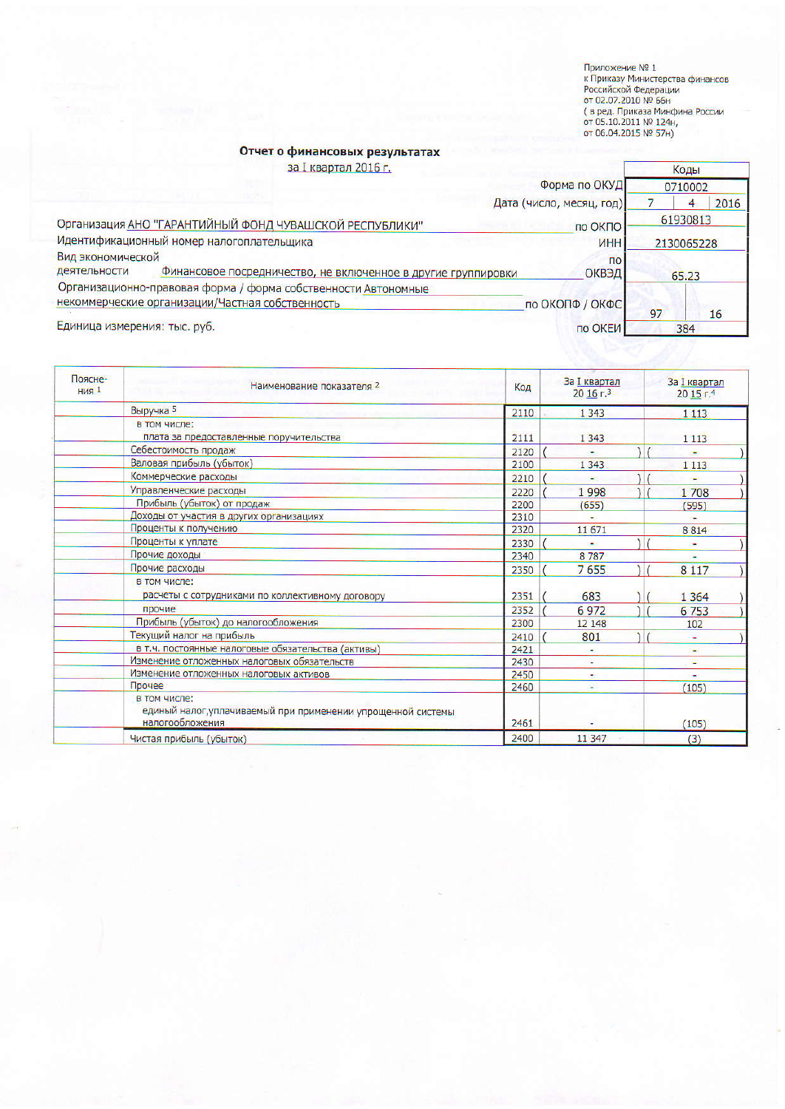Приложение № 1<br>к Приказу Министерства финансов<br>Российской Федерации<br>от 02.07.2010 № 66н<br>( в ред. Приказа Минфина России<br>от 05.10.2011 № 124н,<br>от 06.04.2015 № 57н)

## Отчет о финансовых результатах

за I квартал 2016 г.

|                                                                    | за I квартал 2016 г.                                           |                          |    | Коды    |
|--------------------------------------------------------------------|----------------------------------------------------------------|--------------------------|----|---------|
|                                                                    |                                                                | Форма по ОКУД            |    | 0710002 |
|                                                                    |                                                                | Дата (число, месяц, год) |    | 2016    |
| Организация АНО "ГАРАНТИЙНЫЙ ФОНД ЧУВАШСКОЙ РЕСПУБЛИКИ"<br>по ОКПО |                                                                | 61930813                 |    |         |
| Идентификационный номер налогоплательщика<br><b><i>UHH</i></b>     |                                                                | 2130065228               |    |         |
| Вид экономической                                                  |                                                                | $\overline{10}$          |    |         |
| деятельности                                                       | Финансовое посредничество, не включенное в другие группировки  | <b>ОКВЭД</b>             |    | 65.23   |
|                                                                    | Организационно-правовая форма / форма собственности Автономные |                          |    |         |
|                                                                    | некоммерческие организации/Частная собственность               | по ОКОПФ / ОКФС          |    |         |
|                                                                    |                                                                |                          | 97 | 16      |
| Единица измерения: тыс. руб.                                       |                                                                | по ОКЕИ                  |    | 384     |

| Поясне-<br><b>НИЯ</b> 1 | Наименование показателя 2                                                                       | Код  | За I квартал<br>$2016$ г. <sup>3</sup> | За I квартал<br>$20,15$ r. <sup>4</sup> |
|-------------------------|-------------------------------------------------------------------------------------------------|------|----------------------------------------|-----------------------------------------|
|                         | Выручка 5                                                                                       | 2110 | 1 3 4 3                                | 1 1 1 3                                 |
|                         | в том числе:                                                                                    |      |                                        |                                         |
|                         | плата за предоставленные поручительства                                                         | 2111 | 1 3 4 3                                | 1 1 1 3                                 |
|                         | Себестоимость продаж                                                                            | 2120 | ٠                                      |                                         |
|                         | Валовая прибыль (убыток)                                                                        | 2100 | 1 3 4 3                                | 1 1 1 3                                 |
|                         | Коммерческие расходы                                                                            | 2210 |                                        |                                         |
|                         | Управленческие расходы                                                                          | 2220 | 1998                                   | 1708                                    |
|                         | Прибыль (убыток) от продаж                                                                      | 2200 | (655)                                  | (595)                                   |
|                         | Доходы от участия в других организациях                                                         | 2310 |                                        |                                         |
|                         | Проценты к получению                                                                            | 2320 | 11 671                                 | 8814                                    |
|                         | Проценты к уплате                                                                               | 2330 |                                        |                                         |
|                         | Прочие доходы                                                                                   | 2340 | 8787                                   |                                         |
|                         | Прочие расходы                                                                                  | 2350 | 7655                                   | 8 1 1 7                                 |
|                         | в том числе:<br>расчеты с сотрудниками по коллективному договору                                | 2351 | 683                                    | 1 3 6 4                                 |
|                         | прочие                                                                                          | 2352 | 6972                                   | 6753                                    |
|                         | Прибыль (убыток) до налогообложения                                                             | 2300 | 12 148                                 | 102                                     |
|                         | Текущий налог на прибыль                                                                        | 2410 | 801                                    |                                         |
|                         | в т.ч. постоянные налоговые обязательства (активы)                                              | 2421 |                                        | ٠                                       |
|                         | Изменение отложенных налоговых обязательств                                                     | 2430 |                                        | ç,                                      |
|                         | Изменение отложенных налоговых активов                                                          | 2450 | ÷                                      |                                         |
|                         | Прочее                                                                                          | 2460 | Ξ                                      | (105)                                   |
|                         | в том числе:<br>единый налог, уплачиваемый при применении упрощенной системы<br>налогообложения | 2461 |                                        | (105)                                   |
|                         | Чистая прибыль (убыток)                                                                         | 2400 | 11 3 4 7                               | (3)                                     |